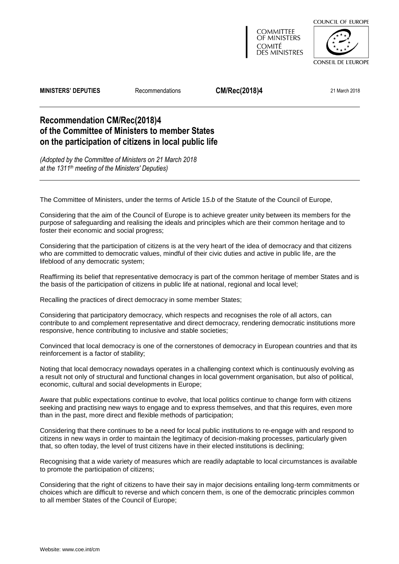

**COMMITTEE** OF MINISTERS COMITÉ **DES MINISTRES** 

**CONSEIL DE L'EUROPE** 

**MINISTERS' DEPUTIES** Recommendations **CM/Rec(2018)4** 21 March 2018

# **Recommendation CM/Rec(2018)4 of the Committee of Ministers to member States on the participation of citizens in local public life**

*(Adopted by the Committee of Ministers on 21 March 2018 at the 1311th meeting of the Ministers' Deputies)*

The Committee of Ministers, under the terms of Article 1*5.b* of the Statute of the Council of Europe,

Considering that the aim of the Council of Europe is to achieve greater unity between its members for the purpose of safeguarding and realising the ideals and principles which are their common heritage and to foster their economic and social progress;

Considering that the participation of citizens is at the very heart of the idea of democracy and that citizens who are committed to democratic values, mindful of their civic duties and active in public life, are the lifeblood of any democratic system;

Reaffirming its belief that representative democracy is part of the common heritage of member States and is the basis of the participation of citizens in public life at national, regional and local level;

Recalling the practices of direct democracy in some member States;

Considering that participatory democracy, which respects and recognises the role of all actors, can contribute to and complement representative and direct democracy, rendering democratic institutions more responsive, hence contributing to inclusive and stable societies;

Convinced that local democracy is one of the cornerstones of democracy in European countries and that its reinforcement is a factor of stability;

Noting that local democracy nowadays operates in a challenging context which is continuously evolving as a result not only of structural and functional changes in local government organisation, but also of political, economic, cultural and social developments in Europe;

Aware that public expectations continue to evolve, that local politics continue to change form with citizens seeking and practising new ways to engage and to express themselves, and that this requires, even more than in the past, more direct and flexible methods of participation;

Considering that there continues to be a need for local public institutions to re-engage with and respond to citizens in new ways in order to maintain the legitimacy of decision-making processes, particularly given that, so often today, the level of trust citizens have in their elected institutions is declining;

Recognising that a wide variety of measures which are readily adaptable to local circumstances is available to promote the participation of citizens;

Considering that the right of citizens to have their say in major decisions entailing long-term commitments or choices which are difficult to reverse and which concern them, is one of the democratic principles common to all member States of the Council of Europe;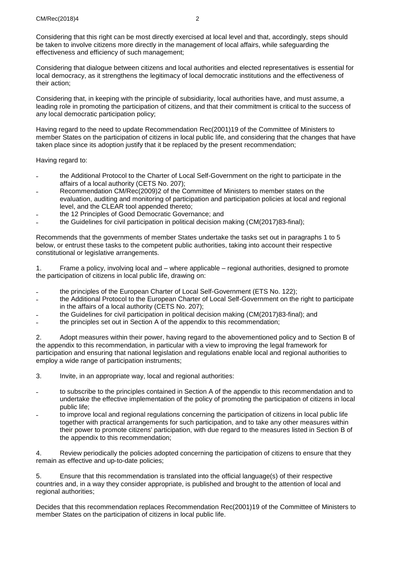Considering that this right can be most directly exercised at local level and that, accordingly, steps should be taken to involve citizens more directly in the management of local affairs, while safeguarding the effectiveness and efficiency of such management;

Considering that dialogue between citizens and local authorities and elected representatives is essential for local democracy, as it strengthens the legitimacy of local democratic institutions and the effectiveness of their action;

Considering that, in keeping with the principle of subsidiarity, local authorities have, and must assume, a leading role in promoting the participation of citizens, and that their commitment is critical to the success of any local democratic participation policy;

Having regard to the need to update Recommendation [Rec\(2001\)19](https://search.coe.int/cm/Pages/result_details.aspx?Reference=Rec(2001)19) of the Committee of Ministers to member States on the participation of citizens in local public life, and considering that the changes that have taken place since its adoption justify that it be replaced by the present recommendation;

Having regard to:

- the Additional Protocol to the Charter of Local Self-Government on the right to participate in the affairs of a local authority (CETS No. 207);
- ˗ Recommendation [CM/Rec\(2009\)2](https://search.coe.int/cm/Pages/result_details.aspx?Reference=CM/Rec(2009)2) of the Committee of Ministers to member states on the evaluation, auditing and monitoring of participation and participation policies at local and regional level, and the CLEAR tool appended thereto;
- ˗ the 12 Principles of Good Democratic Governance; and
- the Guidelines for civil participation in political decision making [\(CM\(2017\)83-final\)](https://search.coe.int/cm/Pages/result_details.aspx?Reference=CM(2017)83-final);

Recommends that the governments of member States undertake the tasks set out in paragraphs 1 to 5 below, or entrust these tasks to the competent public authorities, taking into account their respective constitutional or legislative arrangements.

1. Frame a policy, involving local and – where applicable – regional authorities, designed to promote the participation of citizens in local public life, drawing on:

- ˗ the principles of the European Charter of Local Self-Government (ETS No. 122);
- ˗ the Additional Protocol to the European Charter of Local Self-Government on the right to participate in the affairs of a local authority (CETS No. 207);
- the Guidelines for civil participation in political decision making [\(CM\(2017\)83-final\)](https://search.coe.int/cm/Pages/result_details.aspx?Reference=CM(2017)83-final); and
- the principles set out in Section A of the appendix to this recommendation;

2. Adopt measures within their power, having regard to the abovementioned policy and to Section B of the appendix to this recommendation, in particular with a view to improving the legal framework for participation and ensuring that national legislation and regulations enable local and regional authorities to employ a wide range of participation instruments;

- 3. Invite, in an appropriate way, local and regional authorities:
- to subscribe to the principles contained in Section A of the appendix to this recommendation and to undertake the effective implementation of the policy of promoting the participation of citizens in local public life;
- to improve local and regional regulations concerning the participation of citizens in local public life together with practical arrangements for such participation, and to take any other measures within their power to promote citizens' participation, with due regard to the measures listed in Section B of the appendix to this recommendation;

4. Review periodically the policies adopted concerning the participation of citizens to ensure that they remain as effective and up-to-date policies;

5. Ensure that this recommendation is translated into the official language(s) of their respective countries and, in a way they consider appropriate, is published and brought to the attention of local and regional authorities;

Decides that this recommendation replaces Recommendation [Rec\(2001\)19](https://search.coe.int/cm/Pages/result_details.aspx?Reference=Rec(2001)19) of the Committee of Ministers to member States on the participation of citizens in local public life.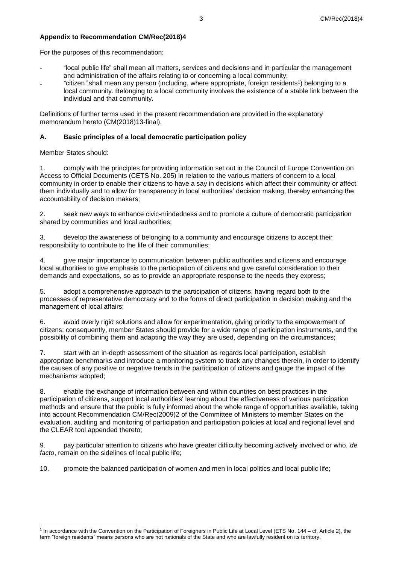# **Appendix to Recommendation CM/Rec(2018)4**

For the purposes of this recommendation:

- ˗ "local public life" shall mean all matters, services and decisions and in particular the management and administration of the affairs relating to or concerning a local community;
- ˗ *"*citizen*"* shall mean any person (including, where appropriate, foreign residents<sup>1</sup> ) belonging to a local community. Belonging to a local community involves the existence of a stable link between the individual and that community.

Definitions of further terms used in the present recommendation are provided in the explanatory memorandum hereto [\(CM\(2018\)13-final\)](https://search.coe.int/cm/Pages/result_details.aspx?Reference=CM(2018)13-final).

## **A. Basic principles of a local democratic participation policy**

Member States should:

1. comply with the principles for providing information set out in the Council of Europe Convention on Access to Official Documents (CETS No. 205) in relation to the various matters of concern to a local community in order to enable their citizens to have a say in decisions which affect their community or affect them individually and to allow for transparency in local authorities' decision making, thereby enhancing the accountability of decision makers;

2. seek new ways to enhance civic-mindedness and to promote a culture of democratic participation shared by communities and local authorities;

3. develop the awareness of belonging to a community and encourage citizens to accept their responsibility to contribute to the life of their communities;

4. give major importance to communication between public authorities and citizens and encourage local authorities to give emphasis to the participation of citizens and give careful consideration to their demands and expectations, so as to provide an appropriate response to the needs they express;

5. adopt a comprehensive approach to the participation of citizens, having regard both to the processes of representative democracy and to the forms of direct participation in decision making and the management of local affairs;

6. avoid overly rigid solutions and allow for experimentation, giving priority to the empowerment of citizens; consequently, member States should provide for a wide range of participation instruments, and the possibility of combining them and adapting the way they are used, depending on the circumstances;

7. start with an in-depth assessment of the situation as regards local participation, establish appropriate benchmarks and introduce a monitoring system to track any changes therein, in order to identify the causes of any positive or negative trends in the participation of citizens and gauge the impact of the mechanisms adopted;

8. enable the exchange of information between and within countries on best practices in the participation of citizens, support local authorities' learning about the effectiveness of various participation methods and ensure that the public is fully informed about the whole range of opportunities available, taking into account Recommendation [CM/Rec\(2009\)2](https://search.coe.int/cm/Pages/result_details.aspx?Reference=CM/Rec(2009)2) of the Committee of Ministers to member States on the evaluation, auditing and monitoring of participation and participation policies at local and regional level and the CLEAR tool appended thereto;

9. pay particular attention to citizens who have greater difficulty becoming actively involved or who, *de facto*, remain on the sidelines of local public life;

10. promote the balanced participation of women and men in local politics and local public life;

 1 In accordance with the Convention on the Participation of Foreigners in Public Life at Local Level (ETS No. 144 – cf. Article 2), the term "foreign residents" means persons who are not nationals of the State and who are lawfully resident on its territory.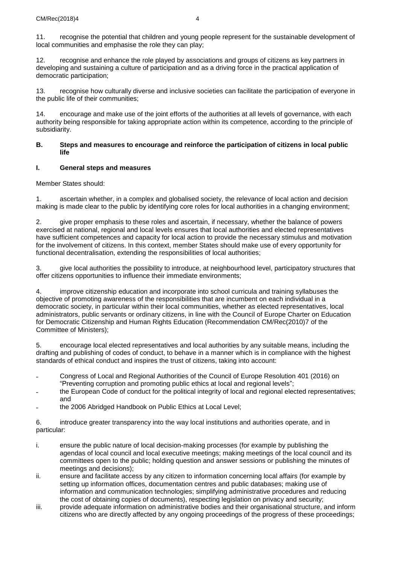11. recognise the potential that children and young people represent for the sustainable development of local communities and emphasise the role they can play;

12. recognise and enhance the role played by associations and groups of citizens as key partners in developing and sustaining a culture of participation and as a driving force in the practical application of democratic participation;

13. recognise how culturally diverse and inclusive societies can facilitate the participation of everyone in the public life of their communities;

14. encourage and make use of the joint efforts of the authorities at all levels of governance, with each authority being responsible for taking appropriate action within its competence, according to the principle of subsidiarity.

#### **B. Steps and measures to encourage and reinforce the participation of citizens in local public life**

## **I. General steps and measures**

Member States should:

1. ascertain whether, in a complex and globalised society, the relevance of local action and decision making is made clear to the public by identifying core roles for local authorities in a changing environment;

2. give proper emphasis to these roles and ascertain, if necessary, whether the balance of powers exercised at national, regional and local levels ensures that local authorities and elected representatives have sufficient competences and capacity for local action to provide the necessary stimulus and motivation for the involvement of citizens. In this context, member States should make use of every opportunity for functional decentralisation, extending the responsibilities of local authorities;

3. give local authorities the possibility to introduce, at neighbourhood level, participatory structures that offer citizens opportunities to influence their immediate environments;

4. improve citizenship education and incorporate into school curricula and training syllabuses the objective of promoting awareness of the responsibilities that are incumbent on each individual in a democratic society, in particular within their local communities, whether as elected representatives, local administrators, public servants or ordinary citizens, in line with the Council of Europe Charter on Education for Democratic Citizenship and Human Rights Education (Recommendation [CM/Rec\(2010\)7](https://search.coe.int/cm/Pages/result_details.aspx?Reference=CM/Rec(2010)7) of the Committee of Ministers);

5. encourage local elected representatives and local authorities by any suitable means, including the drafting and publishing of codes of conduct, to behave in a manner which is in compliance with the highest standards of ethical conduct and inspires the trust of citizens, taking into account:

- ˗ Congress of Local and Regional Authorities of the Council of Europe Resolution 401 (2016) on "Preventing corruption and promoting public ethics at local and regional levels";
- the European Code of conduct for the political integrity of local and regional elected representatives; and
- the 2006 Abridged Handbook on Public Ethics at Local Level;

6. introduce greater transparency into the way local institutions and authorities operate, and in particular:

- i. ensure the public nature of local decision-making processes (for example by publishing the agendas of local council and local executive meetings; making meetings of the local council and its committees open to the public; holding question and answer sessions or publishing the minutes of meetings and decisions);
- ii. ensure and facilitate access by any citizen to information concerning local affairs (for example by setting up information offices, documentation centres and public databases; making use of information and communication technologies; simplifying administrative procedures and reducing the cost of obtaining copies of documents), respecting legislation on privacy and security;
- iii. provide adequate information on administrative bodies and their organisational structure, and inform citizens who are directly affected by any ongoing proceedings of the progress of these proceedings;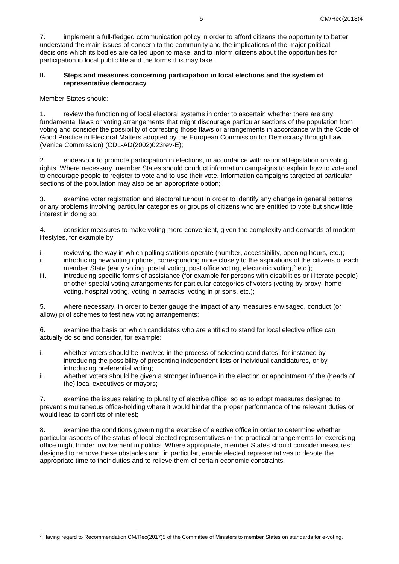7. implement a full-fledged communication policy in order to afford citizens the opportunity to better understand the main issues of concern to the community and the implications of the major political decisions which its bodies are called upon to make, and to inform citizens about the opportunities for participation in local public life and the forms this may take.

### **II. Steps and measures concerning participation in local elections and the system of representative democracy**

Member States should:

1. review the functioning of local electoral systems in order to ascertain whether there are any fundamental flaws or voting arrangements that might discourage particular sections of the population from voting and consider the possibility of correcting those flaws or arrangements in accordance with the Code of Good Practice in Electoral Matters adopted by the European Commission for Democracy through Law (Venice Commission) (CDL-AD(2002)023rev-E);

2. endeavour to promote participation in elections, in accordance with national legislation on voting rights. Where necessary, member States should conduct information campaigns to explain how to vote and to encourage people to register to vote and to use their vote. Information campaigns targeted at particular sections of the population may also be an appropriate option;

3. examine voter registration and electoral turnout in order to identify any change in general patterns or any problems involving particular categories or groups of citizens who are entitled to vote but show little interest in doing so;

4. consider measures to make voting more convenient, given the complexity and demands of modern lifestyles, for example by:

- i. reviewing the way in which polling stations operate (number, accessibility, opening hours, etc.);<br>ii. introducing new voting options, corresponding more closely to the aspirations of the citizens of e
- introducing new voting options, corresponding more closely to the aspirations of the citizens of each member State (early voting, postal voting, post office voting, electronic voting,<sup>2</sup> etc.);
- iii. introducing specific forms of assistance (for example for persons with disabilities or illiterate people) or other special voting arrangements for particular categories of voters (voting by proxy, home voting, hospital voting, voting in barracks, voting in prisons, etc.);

5. where necessary, in order to better gauge the impact of any measures envisaged, conduct (or allow) pilot schemes to test new voting arrangements;

6. examine the basis on which candidates who are entitled to stand for local elective office can actually do so and consider, for example:

- i. whether voters should be involved in the process of selecting candidates, for instance by introducing the possibility of presenting independent lists or individual candidatures, or by introducing preferential voting;
- ii. whether voters should be given a stronger influence in the election or appointment of the (heads of the) local executives or mayors;

7. examine the issues relating to plurality of elective office, so as to adopt measures designed to prevent simultaneous office-holding where it would hinder the proper performance of the relevant duties or would lead to conflicts of interest;

8. examine the conditions governing the exercise of elective office in order to determine whether particular aspects of the status of local elected representatives or the practical arrangements for exercising office might hinder involvement in politics. Where appropriate, member States should consider measures designed to remove these obstacles and, in particular, enable elected representatives to devote the appropriate time to their duties and to relieve them of certain economic constraints.

l <sup>2</sup> Having regard to Recommendation [CM/Rec\(2017\)5](https://search.coe.int/cm/Pages/result_details.aspx?Reference=CM/Rec(2017)5) of the Committee of Ministers to member States on standards for e-voting.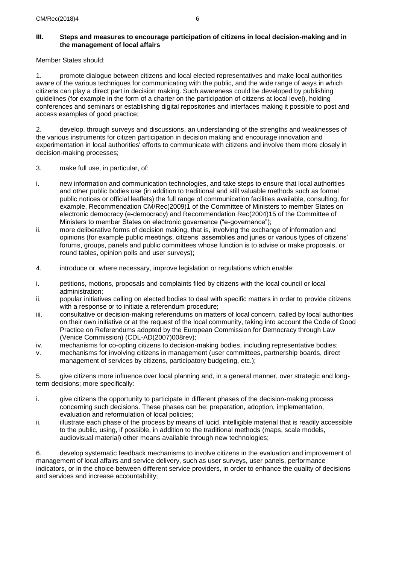## **III. Steps and measures to encourage participation of citizens in local decision-making and in the management of local affairs**

Member States should:

1. promote dialogue between citizens and local elected representatives and make local authorities aware of the various techniques for communicating with the public, and the wide range of ways in which citizens can play a direct part in decision making. Such awareness could be developed by publishing guidelines (for example in the form of a charter on the participation of citizens at local level), holding conferences and seminars or establishing digital repositories and interfaces making it possible to post and access examples of good practice;

2. develop, through surveys and discussions, an understanding of the strengths and weaknesses of the various instruments for citizen participation in decision making and encourage innovation and experimentation in local authorities' efforts to communicate with citizens and involve them more closely in decision-making processes;

- 3. make full use, in particular, of:
- i. new information and communication technologies, and take steps to ensure that local authorities and other public bodies use (in addition to traditional and still valuable methods such as formal public notices or official leaflets) the full range of communication facilities available, consulting, for example, Recommendation [CM/Rec\(2009\)1](https://search.coe.int/cm/Pages/result_details.aspx?Reference=CM/Rec(2009)1) of the Committee of Ministers to member States on electronic democracy (e-democracy) and Recommendation [Rec\(2004\)15](https://search.coe.int/cm/Pages/result_details.aspx?Reference=Rec(2004)15) of the Committee of Ministers to member States on electronic governance ("e-governance");
- ii. more deliberative forms of decision making, that is, involving the exchange of information and opinions (for example public meetings, citizens' assemblies and juries or various types of citizens' forums, groups, panels and public committees whose function is to advise or make proposals, or round tables, opinion polls and user surveys);
- 4. introduce or, where necessary, improve legislation or regulations which enable:
- i. petitions, motions, proposals and complaints filed by citizens with the local council or local administration;
- ii. popular initiatives calling on elected bodies to deal with specific matters in order to provide citizens with a response or to initiate a referendum procedure;
- iii. consultative or decision-making referendums on matters of local concern, called by local authorities on their own initiative or at the request of the local community, taking into account the Code of Good Practice on Referendums adopted by the European Commission for Democracy through Law (Venice Commission) (CDL-AD(2007)008rev);
- iv. mechanisms for co-opting citizens to decision-making bodies, including representative bodies;
- v. mechanisms for involving citizens in management (user committees, partnership boards, direct management of services by citizens, participatory budgeting, etc.);

5. give citizens more influence over local planning and, in a general manner, over strategic and longterm decisions; more specifically:

- i. give citizens the opportunity to participate in different phases of the decision-making process concerning such decisions. These phases can be: preparation, adoption, implementation, evaluation and reformulation of local policies;
- ii. illustrate each phase of the process by means of lucid, intelligible material that is readily accessible to the public, using, if possible, in addition to the traditional methods (maps, scale models, audiovisual material) other means available through new technologies;

6. develop systematic feedback mechanisms to involve citizens in the evaluation and improvement of management of local affairs and service delivery, such as user surveys, user panels, performance indicators, or in the choice between different service providers, in order to enhance the quality of decisions and services and increase accountability;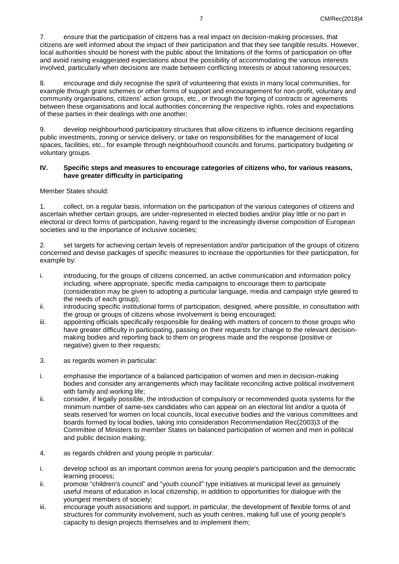7. ensure that the participation of citizens has a real impact on decision-making processes, that citizens are well informed about the impact of their participation and that they see tangible results. However, local authorities should be honest with the public about the limitations of the forms of participation on offer and avoid raising exaggerated expectations about the possibility of accommodating the various interests involved, particularly when decisions are made between conflicting interests or about rationing resources;

8. encourage and duly recognise the spirit of volunteering that exists in many local communities, for example through grant schemes or other forms of support and encouragement for non-profit, voluntary and community organisations, citizens' action groups, etc., or through the forging of contracts or agreements between these organisations and local authorities concerning the respective rights, roles and expectations of these parties in their dealings with one another;

9. develop neighbourhood participatory structures that allow citizens to influence decisions regarding public investments, zoning or service delivery, or take on responsibilities for the management of local spaces, facilities, etc., for example through neighbourhood councils and forums, participatory budgeting or voluntary groups.

#### **IV. Specific steps and measures to encourage categories of citizens who, for various reasons, have greater difficulty in participating**

Member States should:

1. collect, on a regular basis, information on the participation of the various categories of citizens and ascertain whether certain groups, are under-represented in elected bodies and/or play little or no part in electoral or direct forms of participation, having regard to the increasingly diverse composition of European societies and to the importance of inclusive societies;

2. set targets for achieving certain levels of representation and/or participation of the groups of citizens concerned and devise packages of specific measures to increase the opportunities for their participation, for example by:

- i. introducing, for the groups of citizens concerned, an active communication and information policy including, where appropriate, specific media campaigns to encourage them to participate (consideration may be given to adopting a particular language, media and campaign style geared to the needs of each group):
- ii. introducing specific institutional forms of participation, designed, where possible, in consultation with the group or groups of citizens whose involvement is being encouraged;
- iii. appointing officials specifically responsible for dealing with matters of concern to those groups who have greater difficulty in participating, passing on their requests for change to the relevant decisionmaking bodies and reporting back to them on progress made and the response (positive or negative) given to their requests;
- 3. as regards women in particular:
- i. emphasise the importance of a balanced participation of women and men in decision-making bodies and consider any arrangements which may facilitate reconciling active political involvement with family and working life;
- ii. consider, if legally possible, the introduction of compulsory or recommended quota systems for the minimum number of same-sex candidates who can appear on an electoral list and/or a quota of seats reserved for women on local councils, local executive bodies and the various committees and boards formed by local bodies, taking into consideration Recommendation [Rec\(2003\)3](https://search.coe.int/cm/Pages/result_details.aspx?Reference=Rec(2003)3) of the Committee of Ministers to member States on balanced participation of women and men in political and public decision making;
- 4. as regards children and young people in particular:
- i. develop school as an important common arena for young people's participation and the democratic learning process;
- ii. promote "children's council" and "youth council" type initiatives at municipal level as genuinely useful means of education in local citizenship, in addition to opportunities for dialogue with the youngest members of society;
- iii. encourage youth associations and support, in particular, the development of flexible forms of and structures for community involvement, such as youth centres, making full use of young people's capacity to design projects themselves and to implement them;